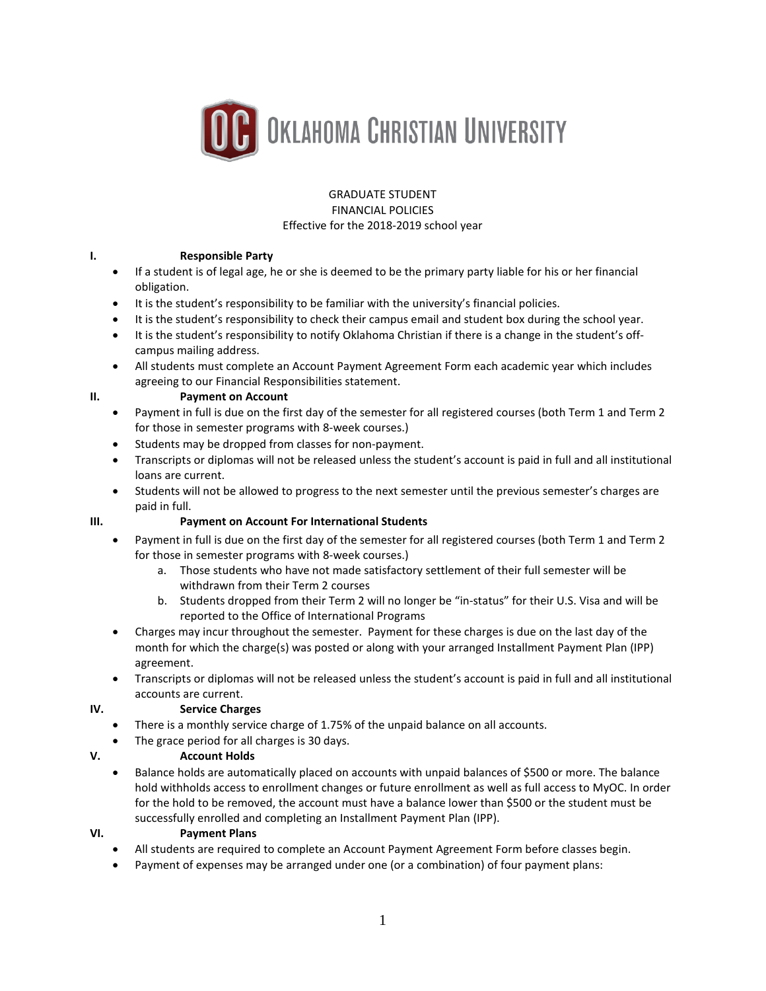

#### GRADUATE STUDENT FINANCIAL POLICIES Effective for the 2018-2019 school year

# **I. Responsible Party**

- If a student is of legal age, he or she is deemed to be the primary party liable for his or her financial obligation.
- It is the student's responsibility to be familiar with the university's financial policies.
- It is the student's responsibility to check their campus email and student box during the school year.
- It is the student's responsibility to notify Oklahoma Christian if there is a change in the student's offcampus mailing address.
- All students must complete an Account Payment Agreement Form each academic year which includes agreeing to our Financial Responsibilities statement.

## **II. Payment on Account**

- Payment in full is due on the first day of the semester for all registered courses (both Term 1 and Term 2 for those in semester programs with 8-week courses.)
- Students may be dropped from classes for non-payment.
- Transcripts or diplomas will not be released unless the student's account is paid in full and all institutional loans are current.
- Students will not be allowed to progress to the next semester until the previous semester's charges are paid in full.

## **III. Payment on Account For International Students**

- Payment in full is due on the first day of the semester for all registered courses (both Term 1 and Term 2 for those in semester programs with 8-week courses.)
	- a. Those students who have not made satisfactory settlement of their full semester will be withdrawn from their Term 2 courses
	- b. Students dropped from their Term 2 will no longer be "in-status" for their U.S. Visa and will be reported to the Office of International Programs
- Charges may incur throughout the semester. Payment for these charges is due on the last day of the month for which the charge(s) was posted or along with your arranged Installment Payment Plan (IPP) agreement.
- Transcripts or diplomas will not be released unless the student's account is paid in full and all institutional accounts are current.

# **IV. Service Charges**

- There is a monthly service charge of 1.75% of the unpaid balance on all accounts.
- The grace period for all charges is 30 days.

# **V. Account Holds**

• Balance holds are automatically placed on accounts with unpaid balances of \$500 or more. The balance hold withholds access to enrollment changes or future enrollment as well as full access to MyOC. In order for the hold to be removed, the account must have a balance lower than \$500 or the student must be successfully enrolled and completing an Installment Payment Plan (IPP).

## **VI. Payment Plans**

- All students are required to complete an Account Payment Agreement Form before classes begin.
- Payment of expenses may be arranged under one (or a combination) of four payment plans: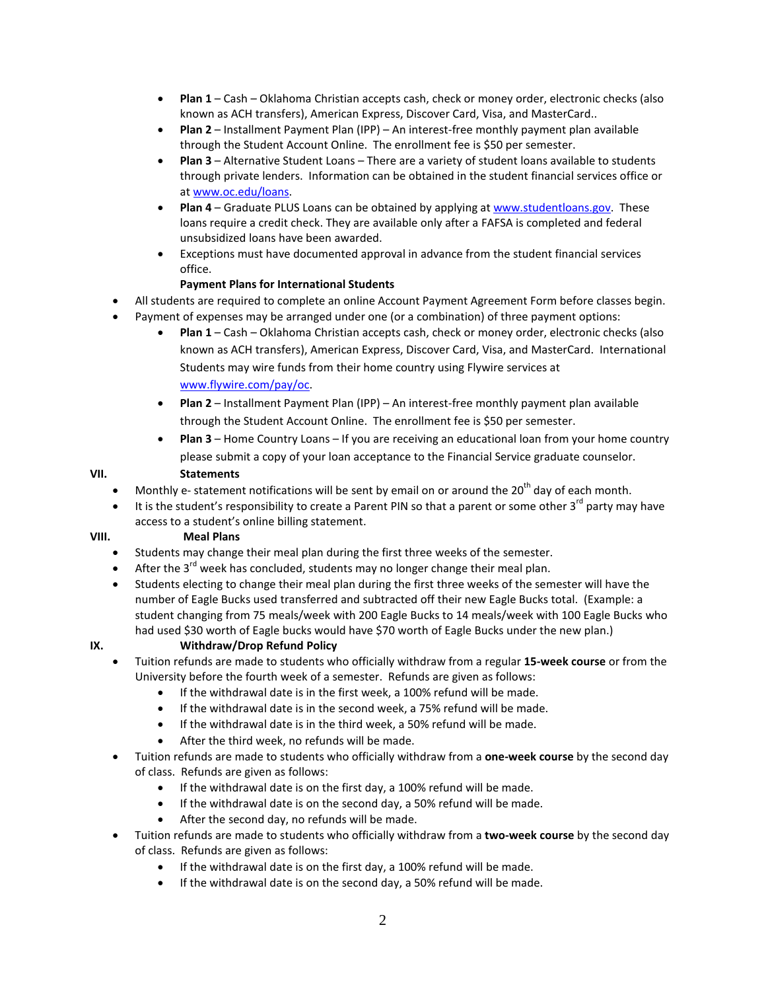- **Plan 1** Cash Oklahoma Christian accepts cash, check or money order, electronic checks (also known as ACH transfers), American Express, Discover Card, Visa, and MasterCard..
- **Plan 2** Installment Payment Plan (IPP) An interest-free monthly payment plan available through the Student Account Online. The enrollment fee is \$50 per semester.
- **Plan 3** Alternative Student Loans There are a variety of student loans available to students through private lenders. Information can be obtained in the student financial services office or a[t www.oc.edu/loans.](http://www.oc.edu/loans)
- **Plan 4** Graduate PLUS Loans can be obtained by applying a[t www.studentloans.gov.](http://www.studentloans.gov/) These loans require a credit check. They are available only after a FAFSA is completed and federal unsubsidized loans have been awarded.
- Exceptions must have documented approval in advance from the student financial services office.

# **Payment Plans for International Students**

- All students are required to complete an online Account Payment Agreement Form before classes begin.
- Payment of expenses may be arranged under one (or a combination) of three payment options:
	- **Plan 1** Cash Oklahoma Christian accepts cash, check or money order, electronic checks (also known as ACH transfers), American Express, Discover Card, Visa, and MasterCard. International Students may wire funds from their home country using Flywire services at [www.flywire.com/pay/oc.](http://www.flywire.com/pay/oc)
	- **Plan 2** Installment Payment Plan (IPP) An interest-free monthly payment plan available through the Student Account Online. The enrollment fee is \$50 per semester.
	- **Plan 3** Home Country Loans If you are receiving an educational loan from your home country please submit a copy of your loan acceptance to the Financial Service graduate counselor.

## **VII. Statements**

- Monthly e- statement notifications will be sent by email on or around the 20<sup>th</sup> day of each month.
- It is the student's responsibility to create a Parent PIN so that a parent or some other  $3^{rd}$  party may have access to a student's online billing statement.

## **VIII. Meal Plans**

- Students may change their meal plan during the first three weeks of the semester.
- After the  $3^{rd}$  week has concluded, students may no longer change their meal plan.
- Students electing to change their meal plan during the first three weeks of the semester will have the number of Eagle Bucks used transferred and subtracted off their new Eagle Bucks total. (Example: a student changing from 75 meals/week with 200 Eagle Bucks to 14 meals/week with 100 Eagle Bucks who had used \$30 worth of Eagle bucks would have \$70 worth of Eagle Bucks under the new plan.)

# **IX. Withdraw/Drop Refund Policy**

- Tuition refunds are made to students who officially withdraw from a regular **15-week course** or from the University before the fourth week of a semester. Refunds are given as follows:
	- If the withdrawal date is in the first week, a 100% refund will be made.
	- If the withdrawal date is in the second week, a 75% refund will be made.
	- If the withdrawal date is in the third week, a 50% refund will be made.
	- After the third week, no refunds will be made.
- Tuition refunds are made to students who officially withdraw from a **one-week course** by the second day of class. Refunds are given as follows:
	- If the withdrawal date is on the first day, a 100% refund will be made.
	- If the withdrawal date is on the second day, a 50% refund will be made.
	- After the second day, no refunds will be made.
- Tuition refunds are made to students who officially withdraw from a **two-week course** by the second day of class. Refunds are given as follows:
	- If the withdrawal date is on the first day, a 100% refund will be made.
	- If the withdrawal date is on the second day, a 50% refund will be made.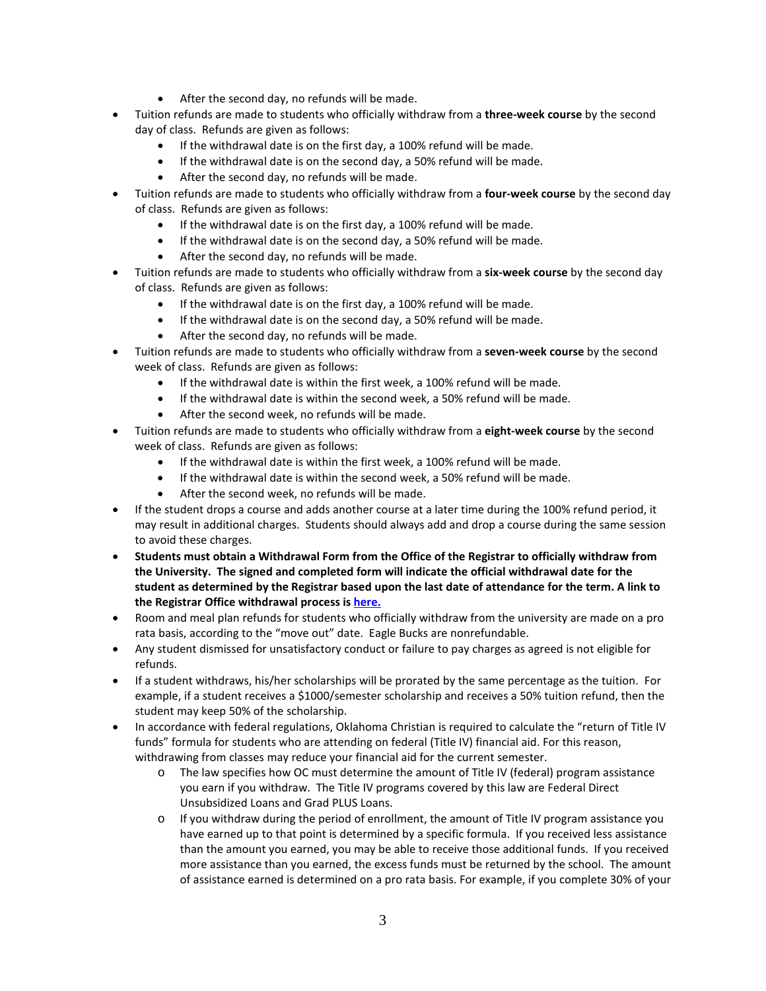- After the second day, no refunds will be made.
- Tuition refunds are made to students who officially withdraw from a **three-week course** by the second day of class. Refunds are given as follows:
	- If the withdrawal date is on the first day, a 100% refund will be made.
	- If the withdrawal date is on the second day, a 50% refund will be made.
	- After the second day, no refunds will be made.
- Tuition refunds are made to students who officially withdraw from a **four-week course** by the second day of class. Refunds are given as follows:
	- If the withdrawal date is on the first day, a 100% refund will be made.
	- If the withdrawal date is on the second day, a 50% refund will be made.
	- After the second day, no refunds will be made.
- Tuition refunds are made to students who officially withdraw from a **six-week course** by the second day of class. Refunds are given as follows:
	- If the withdrawal date is on the first day, a 100% refund will be made.
	- If the withdrawal date is on the second day, a 50% refund will be made.
	- After the second day, no refunds will be made.
- Tuition refunds are made to students who officially withdraw from a **seven-week course** by the second week of class. Refunds are given as follows:
	- If the withdrawal date is within the first week, a 100% refund will be made.
	- If the withdrawal date is within the second week, a 50% refund will be made.
	- After the second week, no refunds will be made.
- Tuition refunds are made to students who officially withdraw from a **eight-week course** by the second week of class. Refunds are given as follows:
	- If the withdrawal date is within the first week, a 100% refund will be made.
	- If the withdrawal date is within the second week, a 50% refund will be made.
	- After the second week, no refunds will be made.
- If the student drops a course and adds another course at a later time during the 100% refund period, it may result in additional charges. Students should always add and drop a course during the same session to avoid these charges.
- **Students must obtain a Withdrawal Form from the Office of the Registrar to officially withdraw from the University. The signed and completed form will indicate the official withdrawal date for the student as determined by the Registrar based upon the last date of attendance for the term. A link to the Registrar Office withdrawal process is [here.](http://www.oc.edu/services/registrar/withdrawal-process/)**
- Room and meal plan refunds for students who officially withdraw from the university are made on a pro rata basis, according to the "move out" date. Eagle Bucks are nonrefundable.
- Any student dismissed for unsatisfactory conduct or failure to pay charges as agreed is not eligible for refunds.
- If a student withdraws, his/her scholarships will be prorated by the same percentage as the tuition. For example, if a student receives a \$1000/semester scholarship and receives a 50% tuition refund, then the student may keep 50% of the scholarship.
- In accordance with federal regulations, Oklahoma Christian is required to calculate the "return of Title IV funds" formula for students who are attending on federal (Title IV) financial aid. For this reason, withdrawing from classes may reduce your financial aid for the current semester.
	- o The law specifies how OC must determine the amount of Title IV (federal) program assistance you earn if you withdraw. The Title IV programs covered by this law are Federal Direct Unsubsidized Loans and Grad PLUS Loans.
	- o If you withdraw during the period of enrollment, the amount of Title IV program assistance you have earned up to that point is determined by a specific formula. If you received less assistance than the amount you earned, you may be able to receive those additional funds. If you received more assistance than you earned, the excess funds must be returned by the school. The amount of assistance earned is determined on a pro rata basis. For example, if you complete 30% of your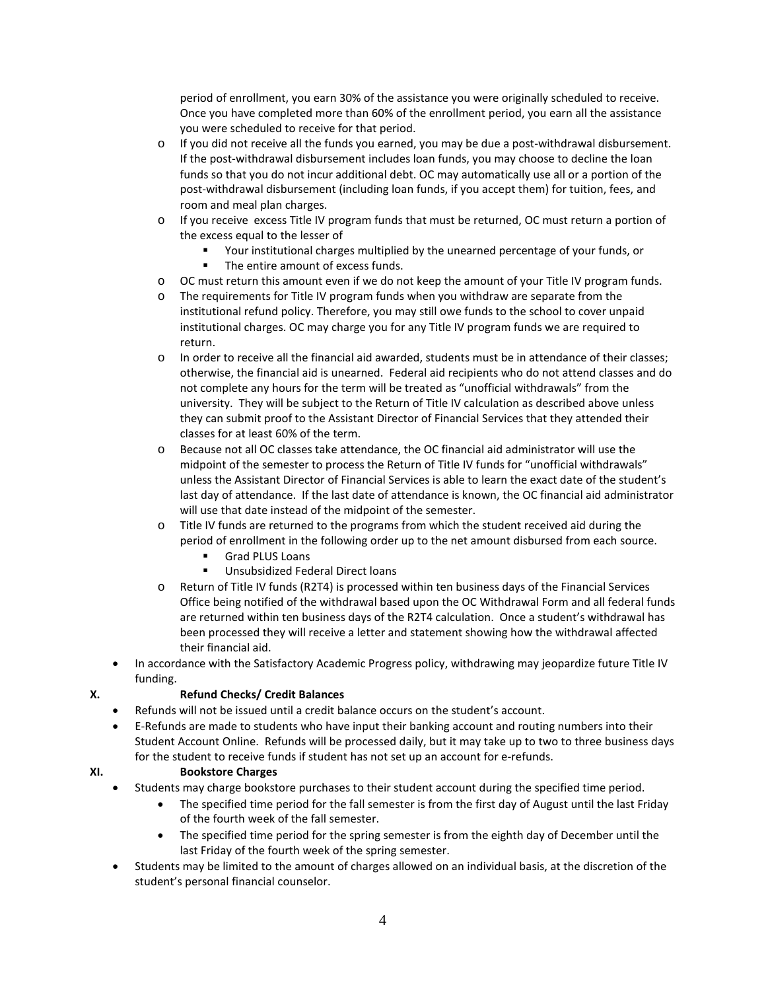period of enrollment, you earn 30% of the assistance you were originally scheduled to receive. Once you have completed more than 60% of the enrollment period, you earn all the assistance you were scheduled to receive for that period.

- o If you did not receive all the funds you earned, you may be due a post-withdrawal disbursement. If the post-withdrawal disbursement includes loan funds, you may choose to decline the loan funds so that you do not incur additional debt. OC may automatically use all or a portion of the post-withdrawal disbursement (including loan funds, if you accept them) for tuition, fees, and room and meal plan charges.
- o If you receive excess Title IV program funds that must be returned, OC must return a portion of the excess equal to the lesser of
	- Your institutional charges multiplied by the unearned percentage of your funds, or
		- The entire amount of excess funds.
- o OC must return this amount even if we do not keep the amount of your Title IV program funds.
- o The requirements for Title IV program funds when you withdraw are separate from the institutional refund policy. Therefore, you may still owe funds to the school to cover unpaid institutional charges. OC may charge you for any Title IV program funds we are required to return.
- o In order to receive all the financial aid awarded, students must be in attendance of their classes; otherwise, the financial aid is unearned. Federal aid recipients who do not attend classes and do not complete any hours for the term will be treated as "unofficial withdrawals" from the university. They will be subject to the Return of Title IV calculation as described above unless they can submit proof to the Assistant Director of Financial Services that they attended their classes for at least 60% of the term.
- o Because not all OC classes take attendance, the OC financial aid administrator will use the midpoint of the semester to process the Return of Title IV funds for "unofficial withdrawals" unless the Assistant Director of Financial Services is able to learn the exact date of the student's last day of attendance. If the last date of attendance is known, the OC financial aid administrator will use that date instead of the midpoint of the semester.
- o Title IV funds are returned to the programs from which the student received aid during the period of enrollment in the following order up to the net amount disbursed from each source.
	- Grad PLUS Loans
	- **Unsubsidized Federal Direct loans**
- o Return of Title IV funds (R2T4) is processed within ten business days of the Financial Services Office being notified of the withdrawal based upon the OC Withdrawal Form and all federal funds are returned within ten business days of the R2T4 calculation. Once a student's withdrawal has been processed they will receive a letter and statement showing how the withdrawal affected their financial aid.
- In accordance with the Satisfactory Academic Progress policy, withdrawing may jeopardize future Title IV funding.

# **X. Refund Checks/ Credit Balances**

- Refunds will not be issued until a credit balance occurs on the student's account.
- E-Refunds are made to students who have input their banking account and routing numbers into their Student Account Online. Refunds will be processed daily, but it may take up to two to three business days for the student to receive funds if student has not set up an account for e-refunds.

# **XI. Bookstore Charges**

- Students may charge bookstore purchases to their student account during the specified time period.
	- The specified time period for the fall semester is from the first day of August until the last Friday of the fourth week of the fall semester.
	- The specified time period for the spring semester is from the eighth day of December until the last Friday of the fourth week of the spring semester.
- Students may be limited to the amount of charges allowed on an individual basis, at the discretion of the student's personal financial counselor.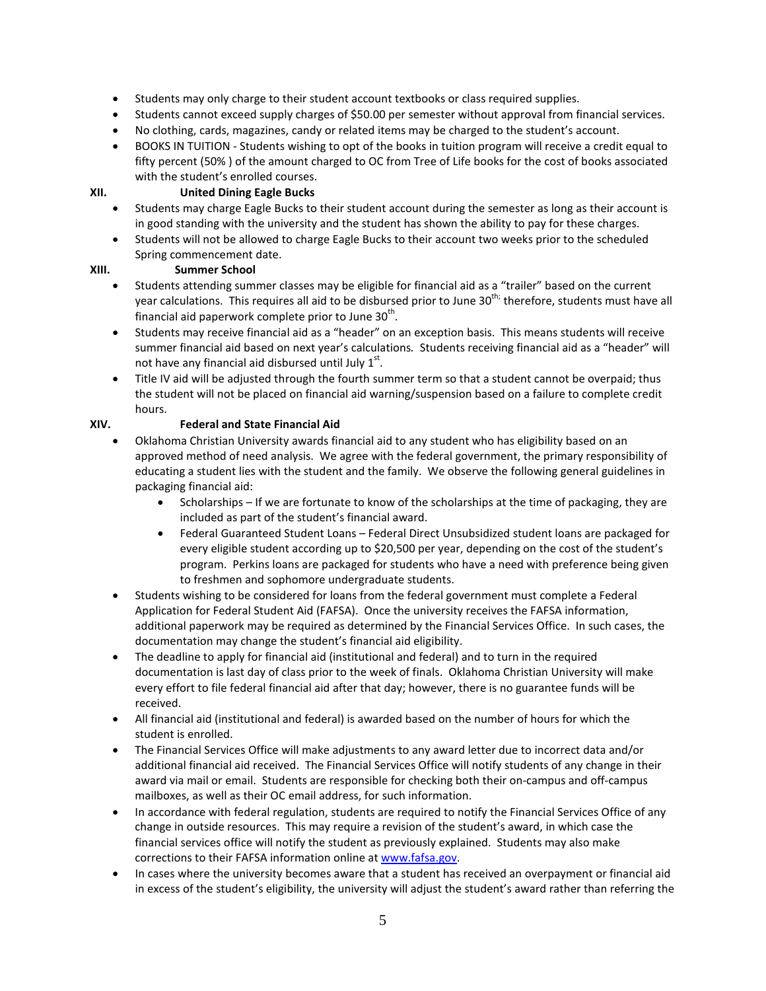- Students may only charge to their student account textbooks or class required supplies.
- Students cannot exceed supply charges of \$50.00 per semester without approval from financial services.
- No clothing, cards, magazines, candy or related items may be charged to the student's account.
- BOOKS IN TUITION Students wishing to opt of the books in tuition program will receive a credit equal to fifty percent (50% ) of the amount charged to OC from Tree of Life books for the cost of books associated with the student's enrolled courses.

# **XII. United Dining Eagle Bucks**

- Students may charge Eagle Bucks to their student account during the semester as long as their account is in good standing with the university and the student has shown the ability to pay for these charges.
- Students will not be allowed to charge Eagle Bucks to their account two weeks prior to the scheduled Spring commencement date.

#### **XIII. Summer School**

- Students attending summer classes may be eligible for financial aid as a "trailer" based on the current year calculations. This requires all aid to be disbursed prior to June 30<sup>th;</sup> therefore, students must have all financial aid paperwork complete prior to June  $30^{th}$ .
- Students may receive financial aid as a "header" on an exception basis. This means students will receive summer financial aid based on next year's calculations*.* Students receiving financial aid as a "header" will not have any financial aid disbursed until July  $1^{st}$ .
- Title IV aid will be adjusted through the fourth summer term so that a student cannot be overpaid; thus the student will not be placed on financial aid warning/suspension based on a failure to complete credit hours.

## **XIV. Federal and State Financial Aid**

- Oklahoma Christian University awards financial aid to any student who has eligibility based on an approved method of need analysis. We agree with the federal government, the primary responsibility of educating a student lies with the student and the family. We observe the following general guidelines in packaging financial aid:
	- Scholarships If we are fortunate to know of the scholarships at the time of packaging, they are included as part of the student's financial award.
	- Federal Guaranteed Student Loans Federal Direct Unsubsidized student loans are packaged for every eligible student according up to \$20,500 per year, depending on the cost of the student's program. Perkins loans are packaged for students who have a need with preference being given to freshmen and sophomore undergraduate students.
- Students wishing to be considered for loans from the federal government must complete a Federal Application for Federal Student Aid (FAFSA). Once the university receives the FAFSA information, additional paperwork may be required as determined by the Financial Services Office. In such cases, the documentation may change the student's financial aid eligibility.
- The deadline to apply for financial aid (institutional and federal) and to turn in the required documentation is last day of class prior to the week of finals. Oklahoma Christian University will make every effort to file federal financial aid after that day; however, there is no guarantee funds will be received.
- All financial aid (institutional and federal) is awarded based on the number of hours for which the student is enrolled.
- The Financial Services Office will make adjustments to any award letter due to incorrect data and/or additional financial aid received. The Financial Services Office will notify students of any change in their award via mail or email. Students are responsible for checking both their on-campus and off-campus mailboxes, as well as their OC email address, for such information.
- In accordance with federal regulation, students are required to notify the Financial Services Office of any change in outside resources. This may require a revision of the student's award, in which case the financial services office will notify the student as previously explained. Students may also make corrections to their FAFSA information online a[t www.fafsa.gov.](http://www.fafsa.gov/)
- In cases where the university becomes aware that a student has received an overpayment or financial aid in excess of the student's eligibility, the university will adjust the student's award rather than referring the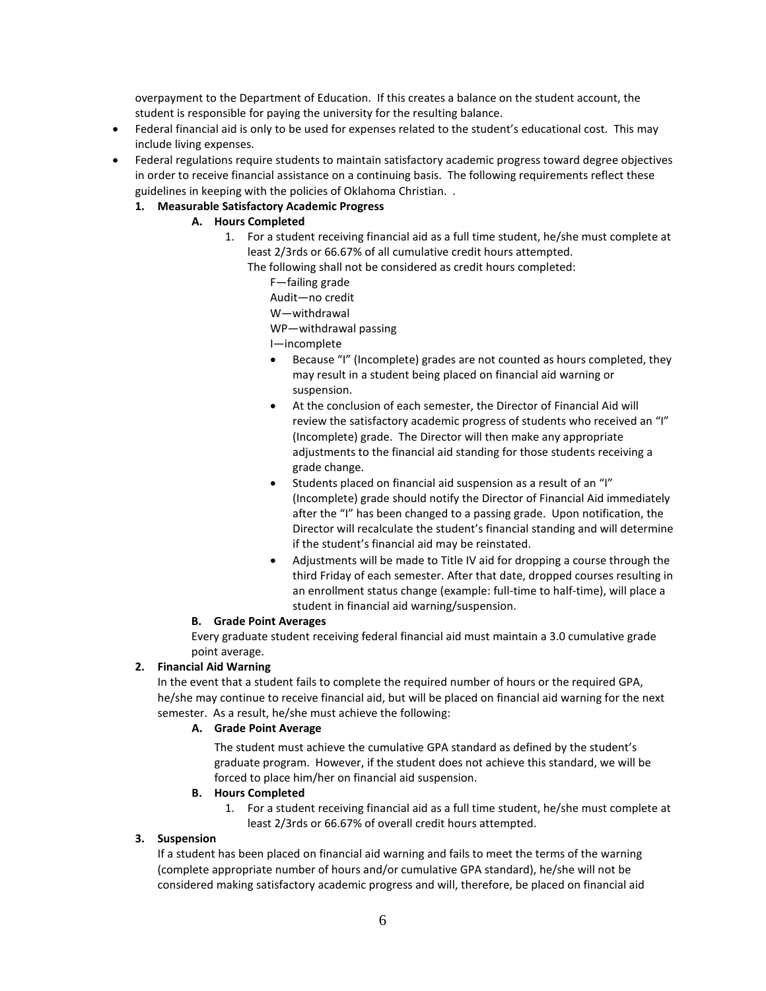overpayment to the Department of Education. If this creates a balance on the student account, the student is responsible for paying the university for the resulting balance.

- Federal financial aid is only to be used for expenses related to the student's educational cost. This may include living expenses.
- Federal regulations require students to maintain satisfactory academic progress toward degree objectives in order to receive financial assistance on a continuing basis. The following requirements reflect these guidelines in keeping with the policies of Oklahoma Christian. .
	- **1. Measurable Satisfactory Academic Progress**

# **A. Hours Completed**

- 1. For a student receiving financial aid as a full time student, he/she must complete at least 2/3rds or 66.67% of all cumulative credit hours attempted.
	- The following shall not be considered as credit hours completed:
		- F—failing grade
		- Audit—no credit
		- W—withdrawal
		- WP—withdrawal passing
		- I—incomplete
		- Because "I" (Incomplete) grades are not counted as hours completed, they may result in a student being placed on financial aid warning or suspension.
		- At the conclusion of each semester, the Director of Financial Aid will review the satisfactory academic progress of students who received an "I" (Incomplete) grade. The Director will then make any appropriate adjustments to the financial aid standing for those students receiving a grade change.
		- Students placed on financial aid suspension as a result of an "I" (Incomplete) grade should notify the Director of Financial Aid immediately after the "I" has been changed to a passing grade. Upon notification, the Director will recalculate the student's financial standing and will determine if the student's financial aid may be reinstated.
		- Adjustments will be made to Title IV aid for dropping a course through the third Friday of each semester. After that date, dropped courses resulting in an enrollment status change (example: full-time to half-time), will place a student in financial aid warning/suspension.

## **B. Grade Point Averages**

Every graduate student receiving federal financial aid must maintain a 3.0 cumulative grade point average.

# **2. Financial Aid Warning**

In the event that a student fails to complete the required number of hours or the required GPA, he/she may continue to receive financial aid, but will be placed on financial aid warning for the next semester. As a result, he/she must achieve the following:

## **A. Grade Point Average**

The student must achieve the cumulative GPA standard as defined by the student's graduate program. However, if the student does not achieve this standard, we will be forced to place him/her on financial aid suspension.

## **B. Hours Completed**

1. For a student receiving financial aid as a full time student, he/she must complete at least 2/3rds or 66.67% of overall credit hours attempted.

## **3. Suspension**

If a student has been placed on financial aid warning and fails to meet the terms of the warning (complete appropriate number of hours and/or cumulative GPA standard), he/she will not be considered making satisfactory academic progress and will, therefore, be placed on financial aid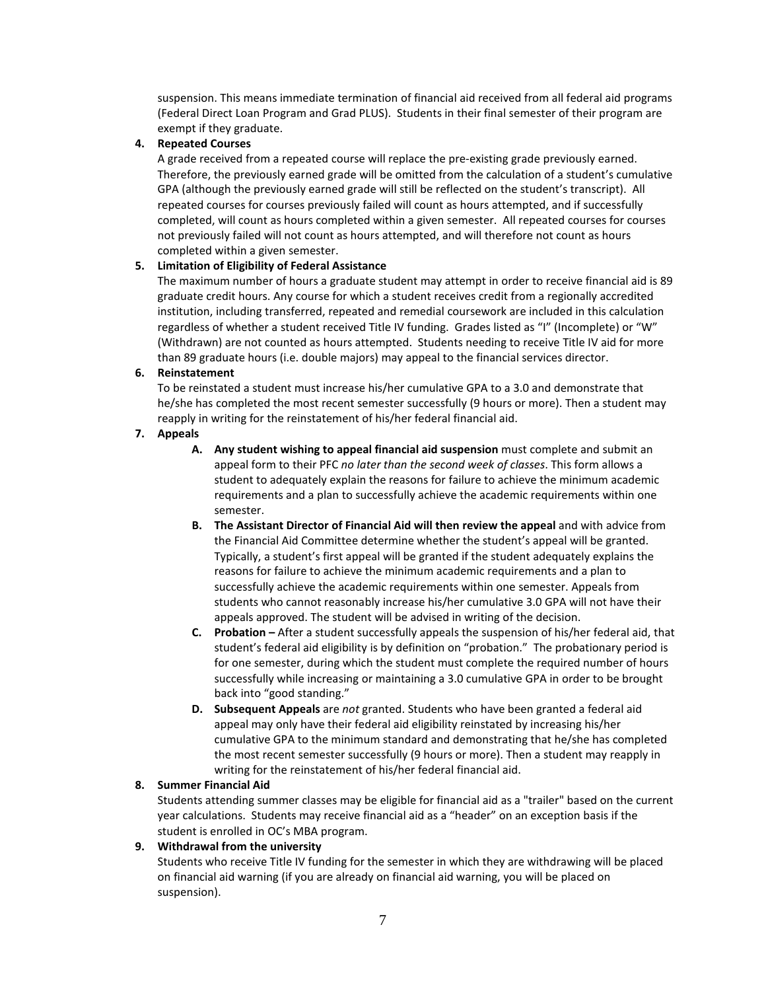suspension. This means immediate termination of financial aid received from all federal aid programs (Federal Direct Loan Program and Grad PLUS). Students in their final semester of their program are exempt if they graduate.

#### **4. Repeated Courses**

A grade received from a repeated course will replace the pre-existing grade previously earned. Therefore, the previously earned grade will be omitted from the calculation of a student's cumulative GPA (although the previously earned grade will still be reflected on the student's transcript). All repeated courses for courses previously failed will count as hours attempted, and if successfully completed, will count as hours completed within a given semester. All repeated courses for courses not previously failed will not count as hours attempted, and will therefore not count as hours completed within a given semester.

#### **5. Limitation of Eligibility of Federal Assistance**

The maximum number of hours a graduate student may attempt in order to receive financial aid is 89 graduate credit hours. Any course for which a student receives credit from a regionally accredited institution, including transferred, repeated and remedial coursework are included in this calculation regardless of whether a student received Title IV funding. Grades listed as "I" (Incomplete) or "W" (Withdrawn) are not counted as hours attempted. Students needing to receive Title IV aid for more than 89 graduate hours (i.e. double majors) may appeal to the financial services director.

#### **6. Reinstatement**

To be reinstated a student must increase his/her cumulative GPA to a 3.0 and demonstrate that he/she has completed the most recent semester successfully (9 hours or more). Then a student may reapply in writing for the reinstatement of his/her federal financial aid.

#### **7. Appeals**

- **A. Any student wishing to appeal financial aid suspension** must complete and submit an appeal form to their PFC *no later than the second week of classes*. This form allows a student to adequately explain the reasons for failure to achieve the minimum academic requirements and a plan to successfully achieve the academic requirements within one semester.
- **B. The Assistant Director of Financial Aid will then review the appeal** and with advice from the Financial Aid Committee determine whether the student's appeal will be granted. Typically, a student's first appeal will be granted if the student adequately explains the reasons for failure to achieve the minimum academic requirements and a plan to successfully achieve the academic requirements within one semester. Appeals from students who cannot reasonably increase his/her cumulative 3.0 GPA will not have their appeals approved. The student will be advised in writing of the decision.
- **C. Probation –** After a student successfully appeals the suspension of his/her federal aid, that student's federal aid eligibility is by definition on "probation." The probationary period is for one semester, during which the student must complete the required number of hours successfully while increasing or maintaining a 3.0 cumulative GPA in order to be brought back into "good standing."
- **D. Subsequent Appeals** are *not* granted. Students who have been granted a federal aid appeal may only have their federal aid eligibility reinstated by increasing his/her cumulative GPA to the minimum standard and demonstrating that he/she has completed the most recent semester successfully (9 hours or more). Then a student may reapply in writing for the reinstatement of his/her federal financial aid.

#### **8. Summer Financial Aid**

Students attending summer classes may be eligible for financial aid as a "trailer" based on the current year calculations. Students may receive financial aid as a "header" on an exception basis if the student is enrolled in OC's MBA program.

## **9. Withdrawal from the university**

Students who receive Title IV funding for the semester in which they are withdrawing will be placed on financial aid warning (if you are already on financial aid warning, you will be placed on suspension).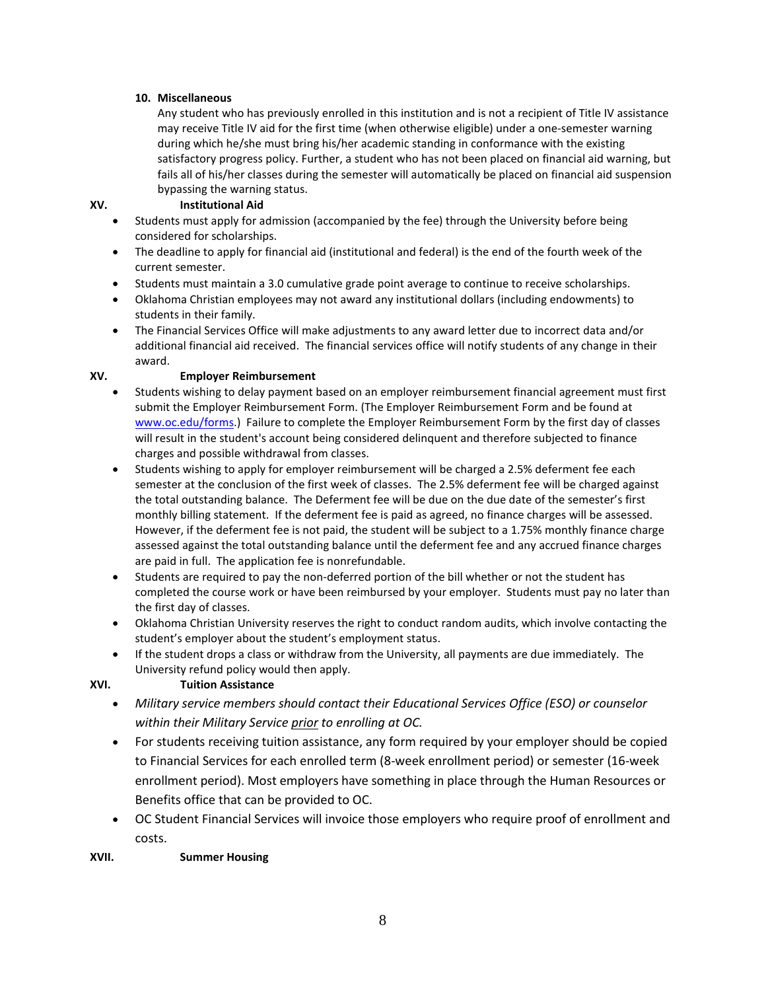## **10. Miscellaneous**

Any student who has previously enrolled in this institution and is not a recipient of Title IV assistance may receive Title IV aid for the first time (when otherwise eligible) under a one-semester warning during which he/she must bring his/her academic standing in conformance with the existing satisfactory progress policy. Further, a student who has not been placed on financial aid warning, but fails all of his/her classes during the semester will automatically be placed on financial aid suspension bypassing the warning status.

## **XV. Institutional Aid**

- Students must apply for admission (accompanied by the fee) through the University before being considered for scholarships.
- The deadline to apply for financial aid (institutional and federal) is the end of the fourth week of the current semester.
- Students must maintain a 3.0 cumulative grade point average to continue to receive scholarships.
- Oklahoma Christian employees may not award any institutional dollars (including endowments) to students in their family.
- The Financial Services Office will make adjustments to any award letter due to incorrect data and/or additional financial aid received. The financial services office will notify students of any change in their award.

## **XV. Employer Reimbursement**

- Students wishing to delay payment based on an employer reimbursement financial agreement must first submit the Employer Reimbursement Form. (The Employer Reimbursement Form and be found at [www.oc.edu/forms.](http://www.oc.edu/forms)) Failure to complete the Employer Reimbursement Form by the first day of classes will result in the student's account being considered delinquent and therefore subjected to finance charges and possible withdrawal from classes.
- Students wishing to apply for employer reimbursement will be charged a 2.5% deferment fee each semester at the conclusion of the first week of classes. The 2.5% deferment fee will be charged against the total outstanding balance. The Deferment fee will be due on the due date of the semester's first monthly billing statement. If the deferment fee is paid as agreed, no finance charges will be assessed. However, if the deferment fee is not paid, the student will be subject to a 1.75% monthly finance charge assessed against the total outstanding balance until the deferment fee and any accrued finance charges are paid in full. The application fee is nonrefundable.
- Students are required to pay the non-deferred portion of the bill whether or not the student has completed the course work or have been reimbursed by your employer. Students must pay no later than the first day of classes.
- Oklahoma Christian University reserves the right to conduct random audits, which involve contacting the student's employer about the student's employment status.
- If the student drops a class or withdraw from the University, all payments are due immediately. The University refund policy would then apply.

# **XVI. Tuition Assistance**

- *Military service members should contact their Educational Services Office (ESO) or counselor within their Military Service prior to enrolling at OC.*
- For students receiving tuition assistance, any form required by your employer should be copied to Financial Services for each enrolled term (8-week enrollment period) or semester (16-week enrollment period). Most employers have something in place through the Human Resources or Benefits office that can be provided to OC.
- OC Student Financial Services will invoice those employers who require proof of enrollment and costs.

# **XVII. Summer Housing**